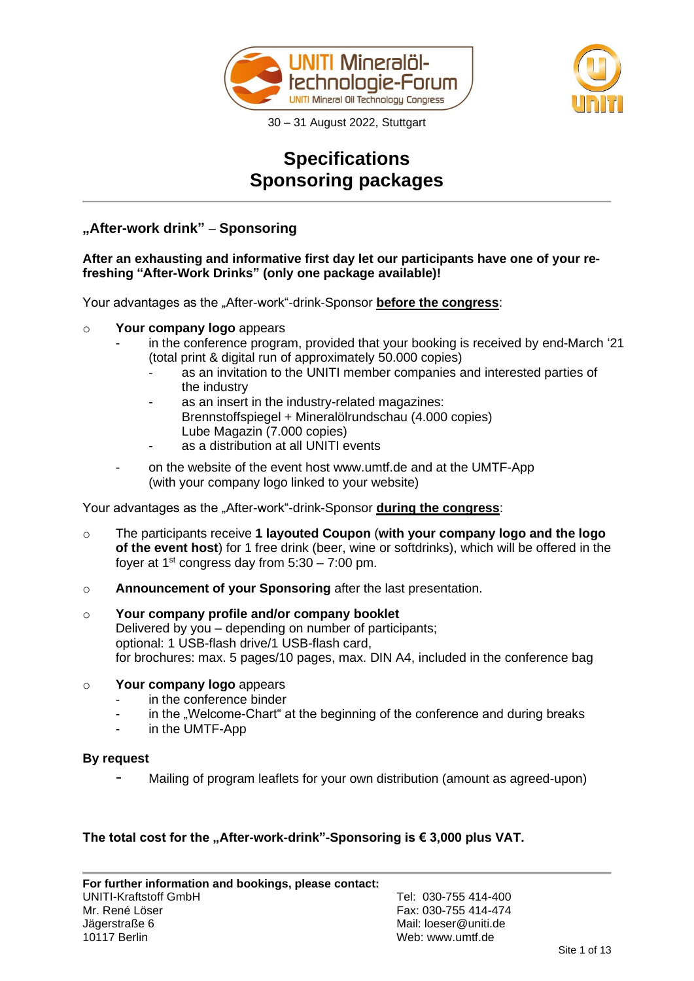



# **Specifications Sponsoring packages**

# **"After-work drink"** – **Sponsoring**

## **After an exhausting and informative first day let our participants have one of your refreshing "After-Work Drinks" (only one package available)!**

Your advantages as the "After-work"-drink-Sponsor **before the congress**:

### o **Your company logo** appears

- in the conference program, provided that your booking is received by end-March '21 (total print & digital run of approximately 50.000 copies)
	- as an invitation to the UNITI member companies and interested parties of the industry
	- as an insert in the industry-related magazines: Brennstoffspiegel + Mineralölrundschau (4.000 copies) Lube Magazin (7.000 copies)
	- as a distribution at all UNITI events
- on the website of the event host www.umtf.de and at the UMTF-App (with your company logo linked to your website)

Your advantages as the ..After-work<sup>"</sup>-drink-Sponsor **during the congress**:

- o The participants receive **1 layouted Coupon** (**with your company logo and the logo of the event host**) for 1 free drink (beer, wine or softdrinks), which will be offered in the foyer at  $1<sup>st</sup>$  congress day from  $5:30 - 7:00$  pm.
- o **Announcement of your Sponsoring** after the last presentation.

#### o **Your company profile and/or company booklet** Delivered by you – depending on number of participants; optional: 1 USB-flash drive/1 USB-flash card, for brochures: max. 5 pages/10 pages, max. DIN A4, included in the conference bag

### o **Your company logo** appears

- in the conference binder
- in the "Welcome-Chart" at the beginning of the conference and during breaks
- in the UMTF-App

#### **By request**

Mailing of program leaflets for your own distribution (amount as agreed-upon)

### The total cost for the "After-work-drink"-Sponsoring is  $\epsilon$  3,000 plus VAT.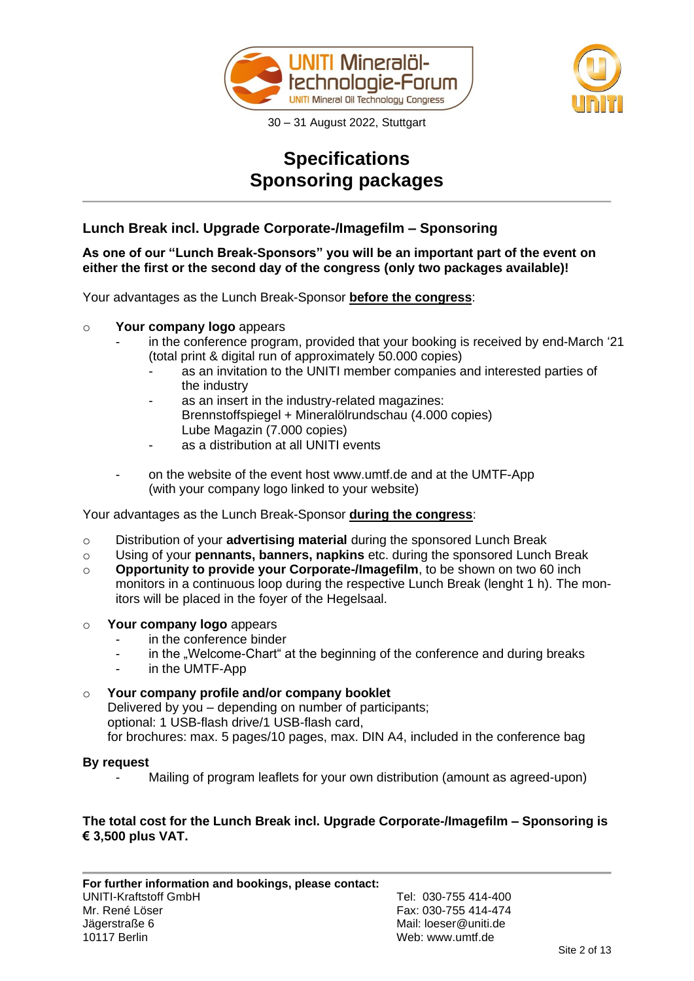



# **Specifications Sponsoring packages**

# **Lunch Break incl. Upgrade Corporate-/Imagefilm – Sponsoring**

**As one of our "Lunch Break-Sponsors" you will be an important part of the event on either the first or the second day of the congress (only two packages available)!**

Your advantages as the Lunch Break-Sponsor **before the congress**:

- o **Your company logo** appears
	- in the conference program, provided that your booking is received by end-March '21 (total print & digital run of approximately 50.000 copies)
		- as an invitation to the UNITI member companies and interested parties of the industry
		- as an insert in the industry-related magazines: Brennstoffspiegel + Mineralölrundschau (4.000 copies) Lube Magazin (7.000 copies)
		- as a distribution at all UNITI events
	- on the website of the event host www.umtf.de and at the UMTF-App (with your company logo linked to your website)

Your advantages as the Lunch Break-Sponsor **during the congress**:

- o Distribution of your **advertising material** during the sponsored Lunch Break
- o Using of your **pennants, banners, napkins** etc. during the sponsored Lunch Break
- o **Opportunity to provide your Corporate-/Imagefilm**, to be shown on two 60 inch monitors in a continuous loop during the respective Lunch Break (lenght 1 h). The monitors will be placed in the foyer of the Hegelsaal.
- o **Your company logo** appears
	- in the conference binder
	- in the "Welcome-Chart" at the beginning of the conference and during breaks
	- in the UMTF-App

## o **Your company profile and/or company booklet**

Delivered by you – depending on number of participants; optional: 1 USB-flash drive/1 USB-flash card, for brochures: max. 5 pages/10 pages, max. DIN A4, included in the conference bag

### **By request**

Mailing of program leaflets for your own distribution (amount as agreed-upon)

## **The total cost for the Lunch Break incl. Upgrade Corporate-/Imagefilm – Sponsoring is € 3,500 plus VAT.**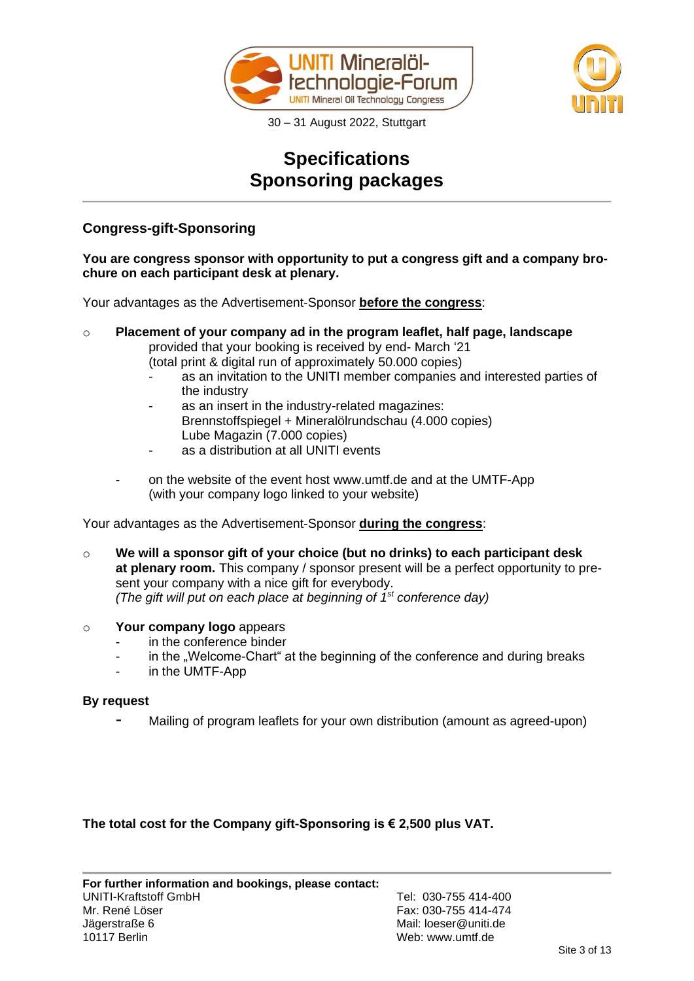



# **Specifications Sponsoring packages**

# **Congress-gift-Sponsoring**

## **You are congress sponsor with opportunity to put a congress gift and a company brochure on each participant desk at plenary.**

Your advantages as the Advertisement-Sponsor **before the congress**:

- o **Placement of your company ad in the program leaflet, half page, landscape** provided that your booking is received by end- March '21 (total print & digital run of approximately 50.000 copies)
	- as an invitation to the UNITI member companies and interested parties of the industry
	- as an insert in the industry-related magazines: Brennstoffspiegel + Mineralölrundschau (4.000 copies) Lube Magazin (7.000 copies)
	- as a distribution at all UNITI events
	- on the website of the event host www.umtf.de and at the UMTF-App (with your company logo linked to your website)

Your advantages as the Advertisement-Sponsor **during the congress**:

- o **We will a sponsor gift of your choice (but no drinks) to each participant desk at plenary room.** This company / sponsor present will be a perfect opportunity to present your company with a nice gift for everybody. *(The gift will put on each place at beginning of 1st conference day)*
- o **Your company logo** appears
	- in the conference binder
	- in the "Welcome-Chart" at the beginning of the conference and during breaks
	- in the UMTF-App

### **By request**

Mailing of program leaflets for your own distribution (amount as agreed-upon)

**The total cost for the Company gift-Sponsoring is € 2,500 plus VAT.**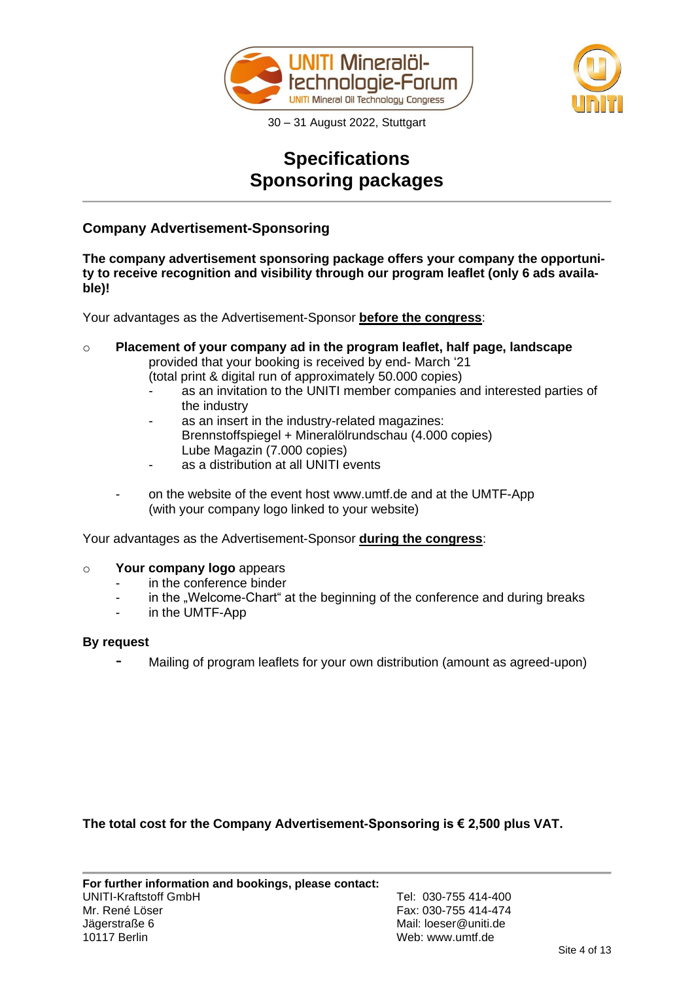



# **Specifications Sponsoring packages**

# **Company Advertisement-Sponsoring**

**The company advertisement sponsoring package offers your company the opportunity to receive recognition and visibility through our program leaflet (only 6 ads available)!**

Your advantages as the Advertisement-Sponsor **before the congress**:

o **Placement of your company ad in the program leaflet, half page, landscape** provided that your booking is received by end- March '21 (total print & digital run of approximately 50.000 copies)

- as an invitation to the UNITI member companies and interested parties of the industry
- as an insert in the industry-related magazines: Brennstoffspiegel + Mineralölrundschau (4.000 copies) Lube Magazin (7.000 copies)
- as a distribution at all UNITI events
- on the website of the event host www.umtf.de and at the UMTF-App (with your company logo linked to your website)

Your advantages as the Advertisement-Sponsor **during the congress**:

### o **Your company logo** appears

- in the conference binder
- in the "Welcome-Chart" at the beginning of the conference and during breaks
- in the UMTF-App

### **By request**

Mailing of program leaflets for your own distribution (amount as agreed-upon)

**The total cost for the Company Advertisement-Sponsoring is € 2,500 plus VAT.**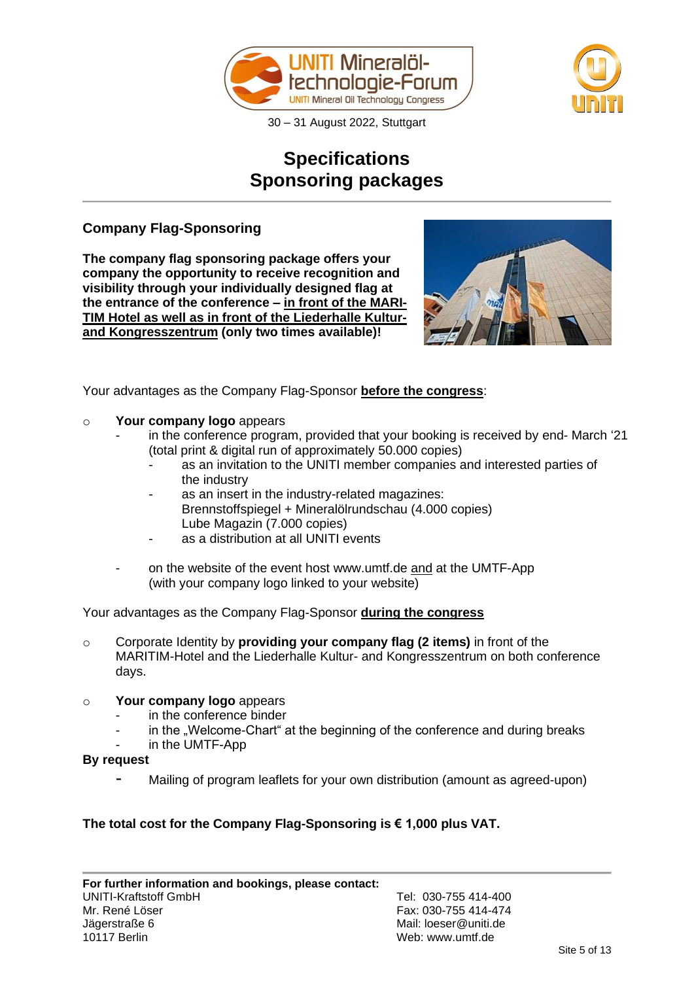



# **Specifications Sponsoring packages**

# **Company Flag-Sponsoring**

**The company flag sponsoring package offers your company the opportunity to receive recognition and visibility through your individually designed flag at the entrance of the conference – in front of the MARI-TIM Hotel as well as in front of the Liederhalle Kulturand Kongresszentrum (only two times available)!**



Your advantages as the Company Flag-Sponsor **before the congress**:

## o **Your company logo** appears

- in the conference program, provided that your booking is received by end- March '21 (total print & digital run of approximately 50.000 copies)
	- as an invitation to the UNITI member companies and interested parties of the industry
	- as an insert in the industry-related magazines: Brennstoffspiegel + Mineralölrundschau (4.000 copies) Lube Magazin (7.000 copies)
	- as a distribution at all UNITI events
- on the website of the event host www.umtf.de and at the UMTF-App (with your company logo linked to your website)

Your advantages as the Company Flag-Sponsor **during the congress**

o Corporate Identity by **providing your company flag (2 items)** in front of the MARITIM-Hotel and the Liederhalle Kultur- and Kongresszentrum on both conference days.

# o **Your company logo** appears

- in the conference binder
- in the "Welcome-Chart" at the beginning of the conference and during breaks
- in the UMTF-App
- **By request**
	- Mailing of program leaflets for your own distribution (amount as agreed-upon)

# **The total cost for the Company Flag-Sponsoring is € 1,000 plus VAT.**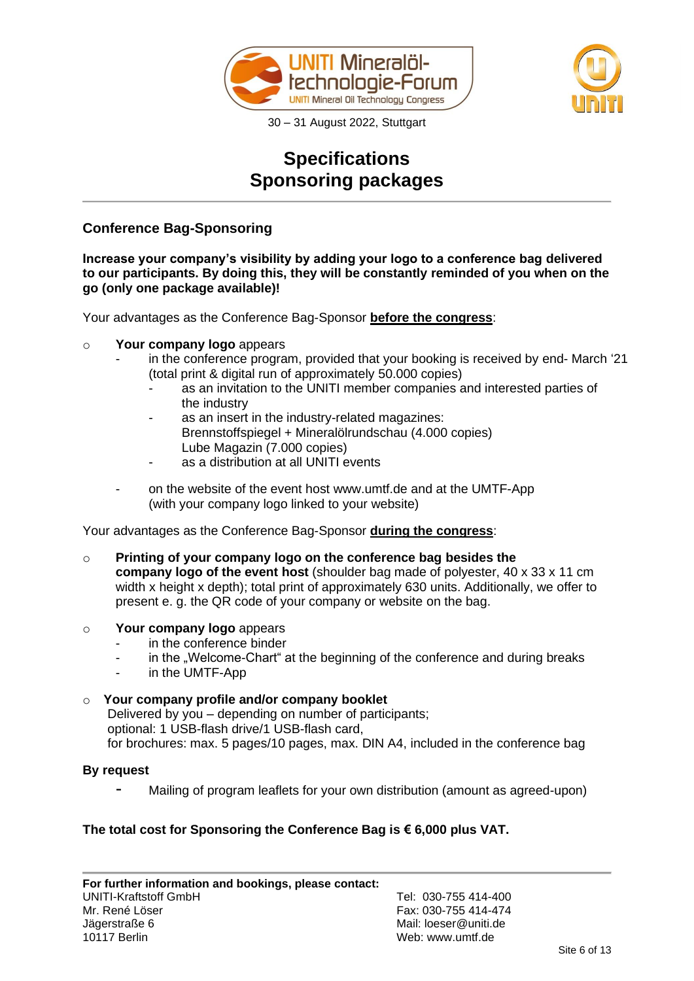



# **Specifications Sponsoring packages**

# **Conference Bag-Sponsoring**

**Increase your company's visibility by adding your logo to a conference bag delivered to our participants. By doing this, they will be constantly reminded of you when on the go (only one package available)!**

Your advantages as the Conference Bag-Sponsor **before the congress**:

- o **Your company logo** appears
	- in the conference program, provided that your booking is received by end- March '21 (total print & digital run of approximately 50.000 copies)
		- as an invitation to the UNITI member companies and interested parties of the industry
		- as an insert in the industry-related magazines: Brennstoffspiegel + Mineralölrundschau (4.000 copies) Lube Magazin (7.000 copies)
		- as a distribution at all UNITI events
	- on the website of the event host www.umtf.de and at the UMTF-App (with your company logo linked to your website)

Your advantages as the Conference Bag-Sponsor **during the congress**:

- o **Printing of your company logo on the conference bag besides the company logo of the event host** (shoulder bag made of polyester, 40 x 33 x 11 cm width x height x depth); total print of approximately 630 units. Additionally, we offer to present e. g. the QR code of your company or website on the bag.
- o **Your company logo** appears
	- in the conference binder
	- in the "Welcome-Chart" at the beginning of the conference and during breaks
	- in the UMTF-App

## o **Your company profile and/or company booklet**

Delivered by you – depending on number of participants; optional: 1 USB-flash drive/1 USB-flash card, for brochures: max. 5 pages/10 pages, max. DIN A4, included in the conference bag

### **By request**

- Mailing of program leaflets for your own distribution (amount as agreed-upon)

## **The total cost for Sponsoring the Conference Bag is € 6,000 plus VAT.**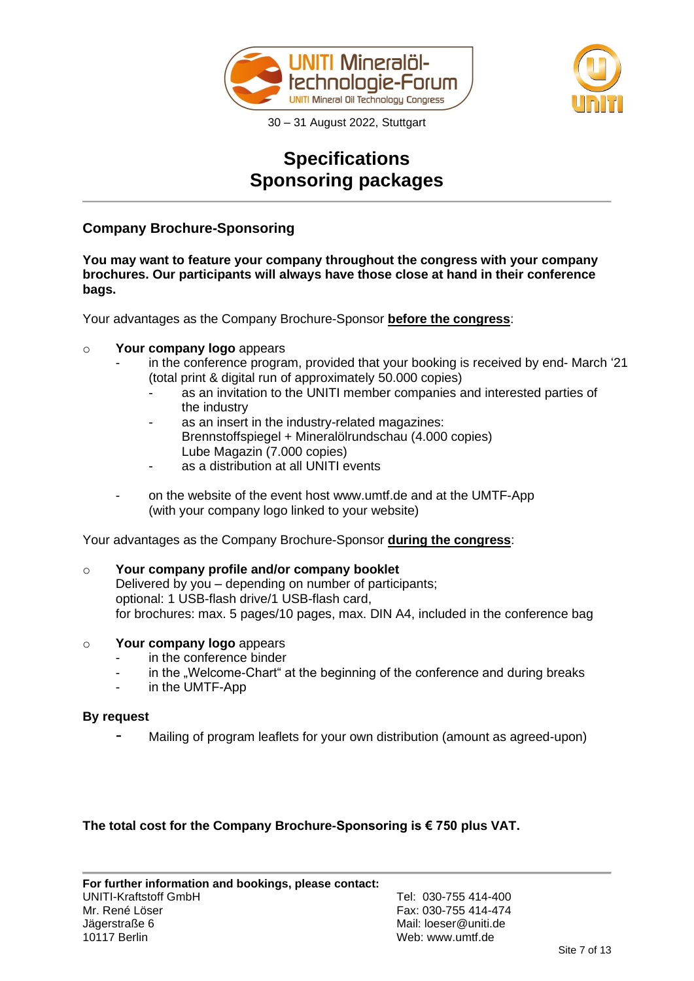



# **Specifications Sponsoring packages**

# **Company Brochure-Sponsoring**

**You may want to feature your company throughout the congress with your company brochures. Our participants will always have those close at hand in their conference bags.** 

Your advantages as the Company Brochure-Sponsor **before the congress**:

## o **Your company logo** appears

- in the conference program, provided that your booking is received by end- March '21 (total print & digital run of approximately 50.000 copies)
	- as an invitation to the UNITI member companies and interested parties of the industry
	- as an insert in the industry-related magazines: Brennstoffspiegel + Mineralölrundschau (4.000 copies) Lube Magazin (7.000 copies)
	- as a distribution at all UNITI events
- on the website of the event host www.umtf.de and at the UMTF-App (with your company logo linked to your website)

Your advantages as the Company Brochure-Sponsor **during the congress**:

#### o **Your company profile and/or company booklet** Delivered by you – depending on number of participants; optional: 1 USB-flash drive/1 USB-flash card, for brochures: max. 5 pages/10 pages, max. DIN A4, included in the conference bag

### o **Your company logo** appears

- in the conference binder
- in the "Welcome-Chart" at the beginning of the conference and during breaks
- in the UMTF-App

### **By request**

Mailing of program leaflets for your own distribution (amount as agreed-upon)

## **The total cost for the Company Brochure-Sponsoring is € 750 plus VAT.**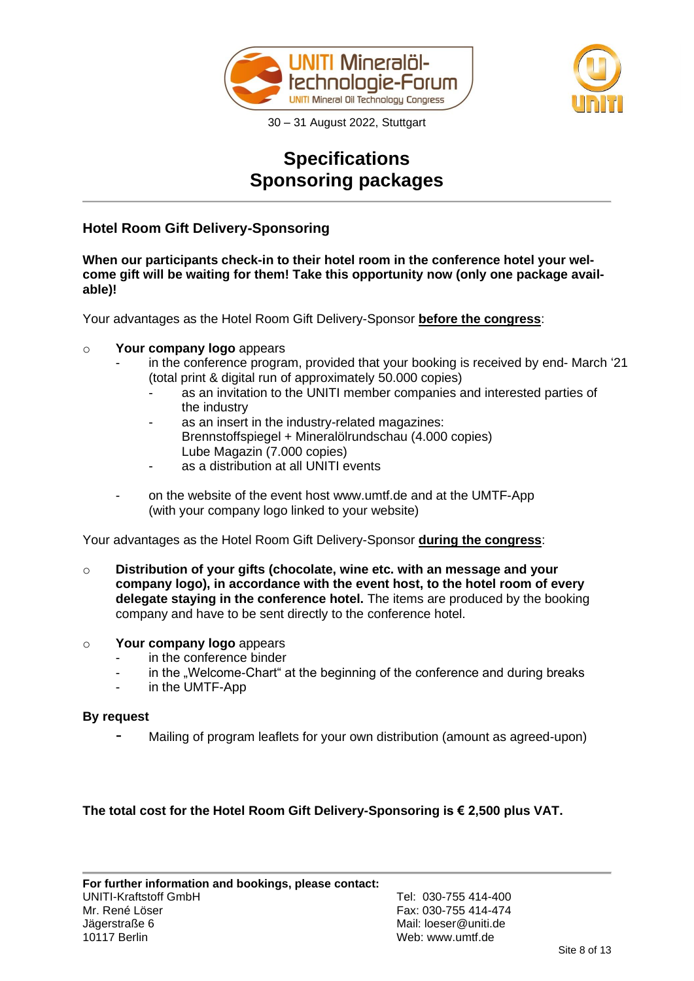



# **Specifications Sponsoring packages**

# **Hotel Room Gift Delivery-Sponsoring**

**When our participants check-in to their hotel room in the conference hotel your welcome gift will be waiting for them! Take this opportunity now (only one package available)!**

Your advantages as the Hotel Room Gift Delivery-Sponsor **before the congress**:

## o **Your company logo** appears

- in the conference program, provided that your booking is received by end- March '21 (total print & digital run of approximately 50.000 copies)
	- as an invitation to the UNITI member companies and interested parties of the industry
	- as an insert in the industry-related magazines: Brennstoffspiegel + Mineralölrundschau (4.000 copies) Lube Magazin (7.000 copies)
	- as a distribution at all UNITI events
- on the website of the event host www.umtf.de and at the UMTF-App (with your company logo linked to your website)

Your advantages as the Hotel Room Gift Delivery-Sponsor **during the congress**:

o **Distribution of your gifts (chocolate, wine etc. with an message and your company logo), in accordance with the event host, to the hotel room of every delegate staying in the conference hotel.** The items are produced by the booking company and have to be sent directly to the conference hotel.

### o **Your company logo** appears

- in the conference binder
- in the "Welcome-Chart" at the beginning of the conference and during breaks
- in the UMTF-App

### **By request**

Mailing of program leaflets for your own distribution (amount as agreed-upon)

## **The total cost for the Hotel Room Gift Delivery-Sponsoring is € 2,500 plus VAT.**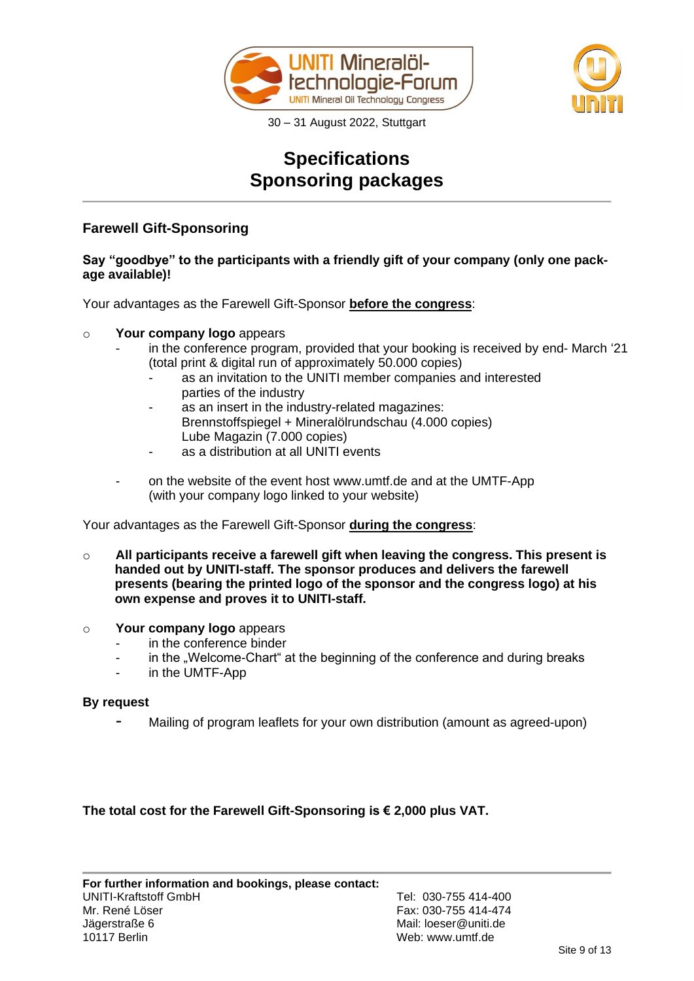



# **Specifications Sponsoring packages**

# **Farewell Gift-Sponsoring**

## **Say "goodbye" to the participants with a friendly gift of your company (only one package available)!**

Your advantages as the Farewell Gift-Sponsor **before the congress**:

## o **Your company logo** appears

- in the conference program, provided that your booking is received by end- March '21 (total print & digital run of approximately 50.000 copies)
	- as an invitation to the UNITI member companies and interested parties of the industry
	- as an insert in the industry-related magazines: Brennstoffspiegel + Mineralölrundschau (4.000 copies) Lube Magazin (7.000 copies)
	- as a distribution at all UNITI events
- on the website of the event host www.umtf.de and at the UMTF-App (with your company logo linked to your website)

Your advantages as the Farewell Gift-Sponsor **during the congress**:

- o **All participants receive a farewell gift when leaving the congress. This present is handed out by UNITI-staff. The sponsor produces and delivers the farewell presents (bearing the printed logo of the sponsor and the congress logo) at his own expense and proves it to UNITI-staff.**
- o **Your company logo** appears
	- in the conference binder
	- in the "Welcome-Chart" at the beginning of the conference and during breaks
	- in the UMTF-App

### **By request**

Mailing of program leaflets for your own distribution (amount as agreed-upon)

**The total cost for the Farewell Gift-Sponsoring is € 2,000 plus VAT.**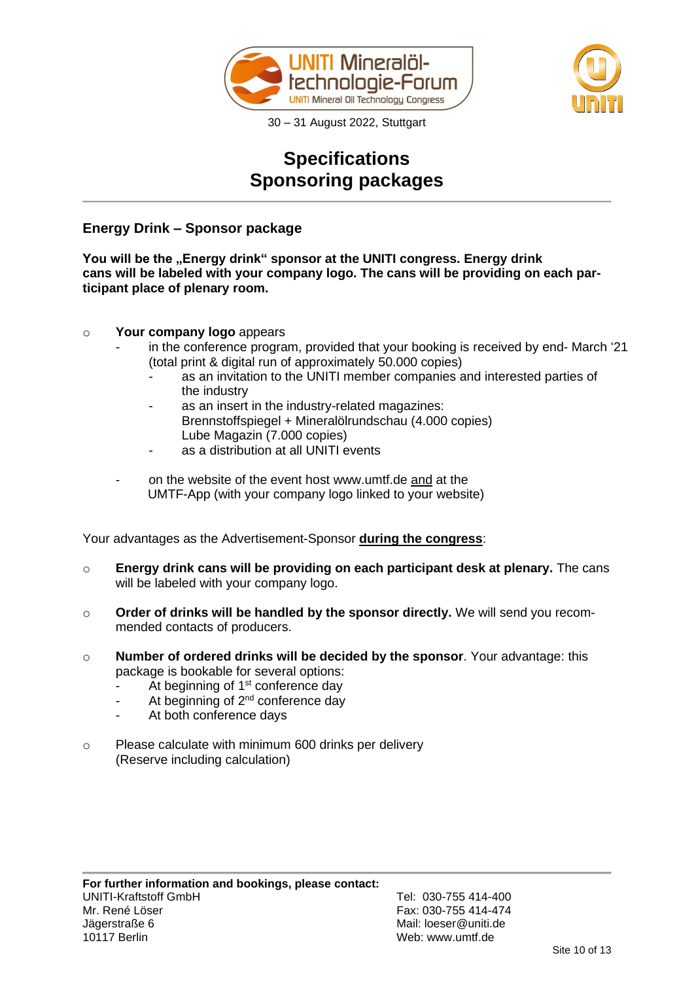



# **Specifications Sponsoring packages**

# **Energy Drink – Sponsor package**

**You will be the "Energy drink" sponsor at the UNITI congress. Energy drink cans will be labeled with your company logo. The cans will be providing on each participant place of plenary room.**

- o **Your company logo** appears
	- in the conference program, provided that your booking is received by end- March '21 (total print & digital run of approximately 50.000 copies)
		- as an invitation to the UNITI member companies and interested parties of the industry
		- as an insert in the industry-related magazines: Brennstoffspiegel + Mineralölrundschau (4.000 copies) Lube Magazin (7.000 copies)
		- as a distribution at all UNITI events
	- on the website of the event host www.umtf.de and at the UMTF-App (with your company logo linked to your website)

Your advantages as the Advertisement-Sponsor **during the congress**:

- o **Energy drink cans will be providing on each participant desk at plenary.** The cans will be labeled with your company logo.
- o **Order of drinks will be handled by the sponsor directly.** We will send you recommended contacts of producers.
- o **Number of ordered drinks will be decided by the sponsor**. Your advantage: this package is bookable for several options:
	- At beginning of 1<sup>st</sup> conference day
	- At beginning of 2<sup>nd</sup> conference day
	- At both conference days
- o Please calculate with minimum 600 drinks per delivery (Reserve including calculation)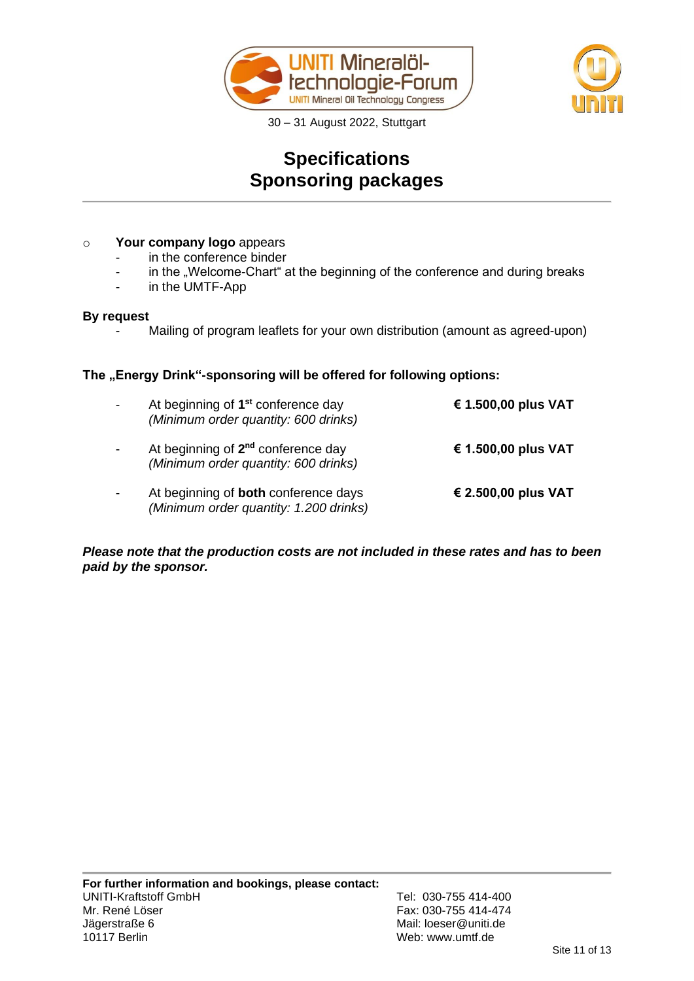



# **Specifications Sponsoring packages**

## o **Your company logo** appears

- in the conference binder
- in the "Welcome-Chart" at the beginning of the conference and during breaks
- in the UMTF-App

## **By request**

Mailing of program leaflets for your own distribution (amount as agreed-upon)

## The "Energy Drink"-sponsoring will be offered for following options:

| At beginning of 1 <sup>st</sup> conference day<br>(Minimum order quantity: 600 drinks) | € 1.500,00 plus VAT |
|----------------------------------------------------------------------------------------|---------------------|
| At beginning of 2 <sup>nd</sup> conference day<br>(Minimum order quantity: 600 drinks) | € 1.500,00 plus VAT |
| At beginning of <b>both</b> conference days<br>(Minimum order quantity: 1.200 drinks)  | € 2.500,00 plus VAT |

*Please note that the production costs are not included in these rates and has to been paid by the sponsor.*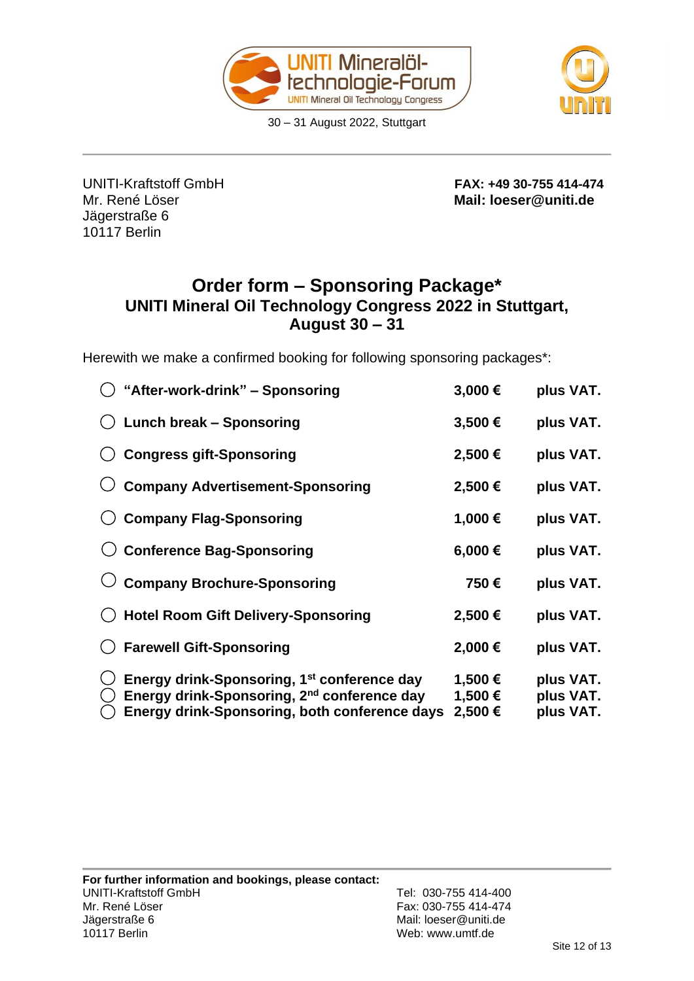



Jägerstraße 6 10117 Berlin

UNITI-Kraftstoff GmbH **FAX: +49 30-755 414-474** Mr. René Löser **Mail: loeser@uniti.de**

# **Order form – Sponsoring Package\* UNITI Mineral Oil Technology Congress 2022 in Stuttgart, August 30 – 31**

Herewith we make a confirmed booking for following sponsoring packages\*:

| "After-work-drink" - Sponsoring                                                                                                                                     | 3,000€                        | plus VAT.                           |
|---------------------------------------------------------------------------------------------------------------------------------------------------------------------|-------------------------------|-------------------------------------|
| <b>Lunch break - Sponsoring</b>                                                                                                                                     | 3,500€                        | plus VAT.                           |
| <b>Congress gift-Sponsoring</b>                                                                                                                                     | 2,500€                        | plus VAT.                           |
| <b>Company Advertisement-Sponsoring</b>                                                                                                                             | 2,500€                        | plus VAT.                           |
| <b>Company Flag-Sponsoring</b>                                                                                                                                      | 1,000€                        | plus VAT.                           |
| <b>Conference Bag-Sponsoring</b>                                                                                                                                    | 6,000€                        | plus VAT.                           |
| <b>Company Brochure-Sponsoring</b>                                                                                                                                  | 750€                          | plus VAT.                           |
| <b>Hotel Room Gift Delivery-Sponsoring</b>                                                                                                                          | 2,500€                        | plus VAT.                           |
| <b>Farewell Gift-Sponsoring</b>                                                                                                                                     | 2,000€                        | plus VAT.                           |
| Energy drink-Sponsoring, 1 <sup>st</sup> conference day<br>Energy drink-Sponsoring, 2 <sup>nd</sup> conference day<br>Energy drink-Sponsoring, both conference days | 1,500 €<br>1,500 €<br>2,500 € | plus VAT.<br>plus VAT.<br>plus VAT. |